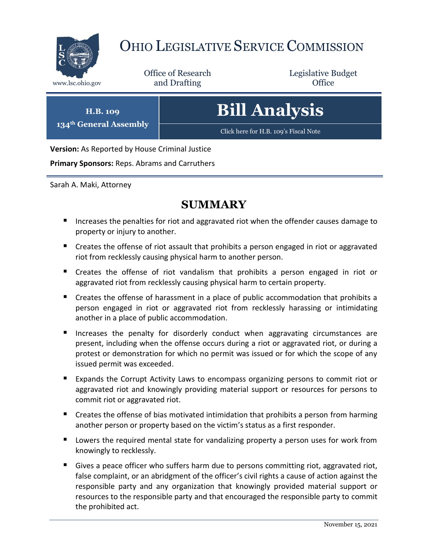

# OHIO LEGISLATIVE SERVICE COMMISSION

Office of Research www.lsc.ohio.gov **and Drafting Office** 

Legislative Budget

**H.B. 109 134th General Assembly** **Bill Analysis**

[Click here for H.B.](https://www.legislature.ohio.gov/legislation/legislation-documents?id=GA134-HB-109) 109's Fiscal Note

**Version:** As Reported by House Criminal Justice

**Primary Sponsors:** Reps. Abrams and Carruthers

Sarah A. Maki, Attorney

## **SUMMARY**

- Increases the penalties for riot and aggravated riot when the offender causes damage to property or injury to another.
- Creates the offense of riot assault that prohibits a person engaged in riot or aggravated riot from recklessly causing physical harm to another person.
- Creates the offense of riot vandalism that prohibits a person engaged in riot or aggravated riot from recklessly causing physical harm to certain property.
- Creates the offense of harassment in a place of public accommodation that prohibits a person engaged in riot or aggravated riot from recklessly harassing or intimidating another in a place of public accommodation.
- **Increases the penalty for disorderly conduct when aggravating circumstances are** present, including when the offense occurs during a riot or aggravated riot, or during a protest or demonstration for which no permit was issued or for which the scope of any issued permit was exceeded.
- Expands the Corrupt Activity Laws to encompass organizing persons to commit riot or aggravated riot and knowingly providing material support or resources for persons to commit riot or aggravated riot.
- Creates the offense of bias motivated intimidation that prohibits a person from harming another person or property based on the victim's status as a first responder.
- Lowers the required mental state for vandalizing property a person uses for work from knowingly to recklessly.
- Gives a peace officer who suffers harm due to persons committing riot, aggravated riot, false complaint, or an abridgment of the officer's civil rights a cause of action against the responsible party and any organization that knowingly provided material support or resources to the responsible party and that encouraged the responsible party to commit the prohibited act.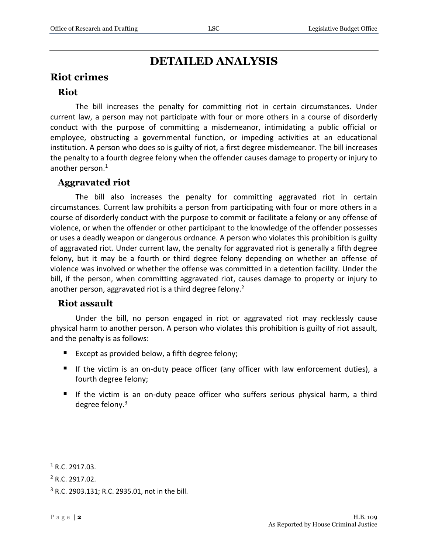# **DETAILED ANALYSIS**

## **Riot crimes**

### **Riot**

The bill increases the penalty for committing riot in certain circumstances. Under current law, a person may not participate with four or more others in a course of disorderly conduct with the purpose of committing a misdemeanor, intimidating a public official or employee, obstructing a governmental function, or impeding activities at an educational institution. A person who does so is guilty of riot, a first degree misdemeanor. The bill increases the penalty to a fourth degree felony when the offender causes damage to property or injury to another person.<sup>1</sup>

#### **Aggravated riot**

The bill also increases the penalty for committing aggravated riot in certain circumstances. Current law prohibits a person from participating with four or more others in a course of disorderly conduct with the purpose to commit or facilitate a felony or any offense of violence, or when the offender or other participant to the knowledge of the offender possesses or uses a deadly weapon or dangerous ordnance. A person who violates this prohibition is guilty of aggravated riot. Under current law, the penalty for aggravated riot is generally a fifth degree felony, but it may be a fourth or third degree felony depending on whether an offense of violence was involved or whether the offense was committed in a detention facility. Under the bill, if the person, when committing aggravated riot, causes damage to property or injury to another person, aggravated riot is a third degree felony.<sup>2</sup>

#### **Riot assault**

Under the bill, no person engaged in riot or aggravated riot may recklessly cause physical harm to another person. A person who violates this prohibition is guilty of riot assault, and the penalty is as follows:

- Except as provided below, a fifth degree felony;
- If the victim is an on-duty peace officer (any officer with law enforcement duties), a fourth degree felony;
- If the victim is an on-duty peace officer who suffers serious physical harm, a third degree felony.<sup>3</sup>

 $1 R.C. 2917.03.$ 

 $2$  R.C. 2917.02.

<sup>3</sup> R.C. 2903.131; R.C. 2935.01, not in the bill.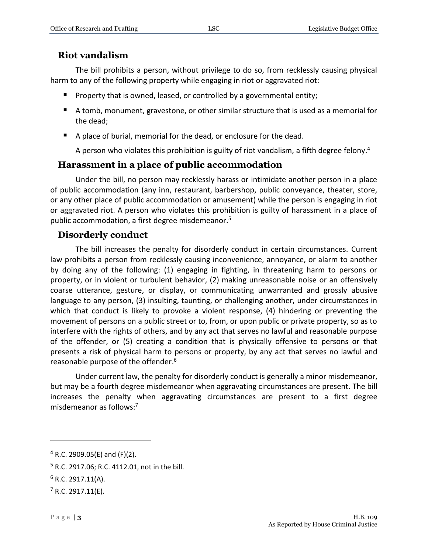## **Riot vandalism**

The bill prohibits a person, without privilege to do so, from recklessly causing physical harm to any of the following property while engaging in riot or aggravated riot:

- **Property that is owned, leased, or controlled by a governmental entity;**
- A tomb, monument, gravestone, or other similar structure that is used as a memorial for the dead;
- A place of burial, memorial for the dead, or enclosure for the dead.

A person who violates this prohibition is guilty of riot vandalism, a fifth degree felony.<sup>4</sup>

## **Harassment in a place of public accommodation**

Under the bill, no person may recklessly harass or intimidate another person in a place of public accommodation (any inn, restaurant, barbershop, public conveyance, theater, store, or any other place of public accommodation or amusement) while the person is engaging in riot or aggravated riot. A person who violates this prohibition is guilty of harassment in a place of public accommodation, a first degree misdemeanor.<sup>5</sup>

## **Disorderly conduct**

The bill increases the penalty for disorderly conduct in certain circumstances. Current law prohibits a person from recklessly causing inconvenience, annoyance, or alarm to another by doing any of the following: (1) engaging in fighting, in threatening harm to persons or property, or in violent or turbulent behavior, (2) making unreasonable noise or an offensively coarse utterance, gesture, or display, or communicating unwarranted and grossly abusive language to any person, (3) insulting, taunting, or challenging another, under circumstances in which that conduct is likely to provoke a violent response, (4) hindering or preventing the movement of persons on a public street or to, from, or upon public or private property, so as to interfere with the rights of others, and by any act that serves no lawful and reasonable purpose of the offender, or (5) creating a condition that is physically offensive to persons or that presents a risk of physical harm to persons or property, by any act that serves no lawful and reasonable purpose of the offender.<sup>6</sup>

Under current law, the penalty for disorderly conduct is generally a minor misdemeanor, but may be a fourth degree misdemeanor when aggravating circumstances are present. The bill increases the penalty when aggravating circumstances are present to a first degree misdemeanor as follows: 7

<sup>5</sup> R.C. 2917.06; R.C. 4112.01, not in the bill.

 $4$  R.C. 2909.05(E) and (F)(2).

 $6$  R.C. 2917.11(A).

 $7$  R.C. 2917.11(E).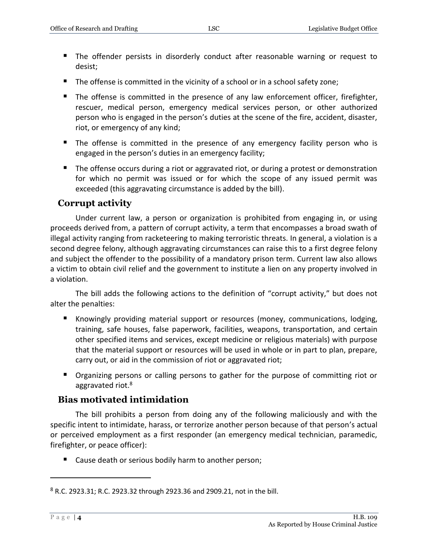- The offender persists in disorderly conduct after reasonable warning or request to desist;
- The offense is committed in the vicinity of a school or in a school safety zone;
- The offense is committed in the presence of any law enforcement officer, firefighter, rescuer, medical person, emergency medical services person, or other authorized person who is engaged in the person's duties at the scene of the fire, accident, disaster, riot, or emergency of any kind;
- The offense is committed in the presence of any emergency facility person who is engaged in the person's duties in an emergency facility;
- **The offense occurs during a riot or aggravated riot, or during a protest or demonstration** for which no permit was issued or for which the scope of any issued permit was exceeded (this aggravating circumstance is added by the bill).

## **Corrupt activity**

Under current law, a person or organization is prohibited from engaging in, or using proceeds derived from, a pattern of corrupt activity, a term that encompasses a broad swath of illegal activity ranging from racketeering to making terroristic threats. In general, a violation is a second degree felony, although aggravating circumstances can raise this to a first degree felony and subject the offender to the possibility of a mandatory prison term. Current law also allows a victim to obtain civil relief and the government to institute a lien on any property involved in a violation.

The bill adds the following actions to the definition of "corrupt activity," but does not alter the penalties:

- Knowingly providing material support or resources (money, communications, lodging, training, safe houses, false paperwork, facilities, weapons, transportation, and certain other specified items and services, except medicine or religious materials) with purpose that the material support or resources will be used in whole or in part to plan, prepare, carry out, or aid in the commission of riot or aggravated riot;
- **Deall** Organizing persons or calling persons to gather for the purpose of committing riot or aggravated riot.<sup>8</sup>

## **Bias motivated intimidation**

The bill prohibits a person from doing any of the following maliciously and with the specific intent to intimidate, harass, or terrorize another person because of that person's actual or perceived employment as a first responder (an emergency medical technician, paramedic, firefighter, or peace officer):

■ Cause death or serious bodily harm to another person;

<sup>8</sup> R.C. 2923.31; R.C. 2923.32 through 2923.36 and 2909.21, not in the bill.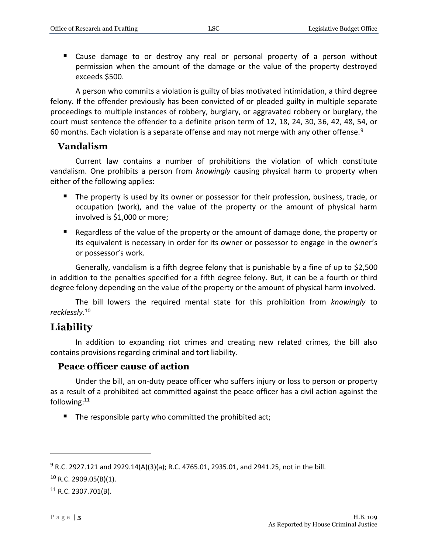Cause damage to or destroy any real or personal property of a person without permission when the amount of the damage or the value of the property destroyed exceeds \$500.

A person who commits a violation is guilty of bias motivated intimidation, a third degree felony. If the offender previously has been convicted of or pleaded guilty in multiple separate proceedings to multiple instances of robbery, burglary, or aggravated robbery or burglary, the court must sentence the offender to a definite prison term of 12, 18, 24, 30, 36, 42, 48, 54, or 60 months. Each violation is a separate offense and may not merge with any other offense.<sup>9</sup>

#### **Vandalism**

Current law contains a number of prohibitions the violation of which constitute vandalism. One prohibits a person from *knowingly* causing physical harm to property when either of the following applies:

- The property is used by its owner or possessor for their profession, business, trade, or occupation (work), and the value of the property or the amount of physical harm involved is \$1,000 or more;
- **E** Regardless of the value of the property or the amount of damage done, the property or its equivalent is necessary in order for its owner or possessor to engage in the owner's or possessor's work.

Generally, vandalism is a fifth degree felony that is punishable by a fine of up to \$2,500 in addition to the penalties specified for a fifth degree felony. But, it can be a fourth or third degree felony depending on the value of the property or the amount of physical harm involved.

The bill lowers the required mental state for this prohibition from *knowingly* to *recklessly*. 10

## **Liability**

In addition to expanding riot crimes and creating new related crimes, the bill also contains provisions regarding criminal and tort liability.

#### **Peace officer cause of action**

Under the bill, an on-duty peace officer who suffers injury or loss to person or property as a result of a prohibited act committed against the peace officer has a civil action against the following:<sup>11</sup>

The responsible party who committed the prohibited act;

 $9$  R.C. 2927.121 and 2929.14(A)(3)(a); R.C. 4765.01, 2935.01, and 2941.25, not in the bill.

 $10$  R.C. 2909.05(B)(1).

 $11$  R.C. 2307.701(B).